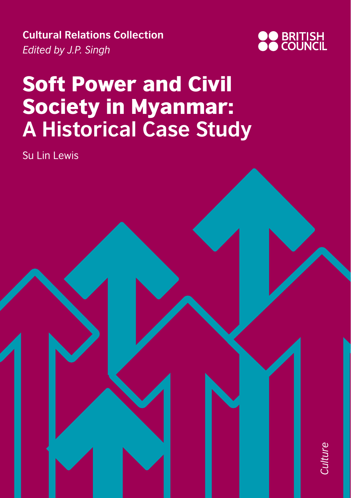**Cultural Relations Collection** *Edited by J.P. Singh*



# Soft Power and Civil Society in Myanmar: **A Historical Case Study**

Su Lin Lewis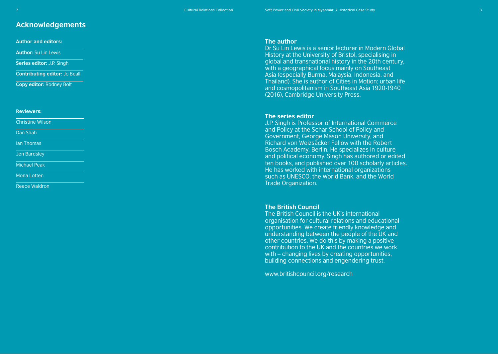2 Cultural Relations Collection Soft Power and Civil Society in Myanmar: A Historical Case Study

# **Acknowledgements**

**Author and editors:**

**Author:** Su Lin Lewis

**Series editor:** J.P. Singh

**Contributing editor:** Jo Beall

**Copy editor:** Rodney Bolt

#### **Reviewers:**

Christine Wilson

Dan Shah

Ian Thomas

Jen Bardsley

Michael Peak

Mona Lotten

Reece Waldron

#### **The author**

Dr Su Lin Lewis is a senior lecturer in Modern Global History at the University of Bristol, specialising in global and transnational history in the 20th century, with a geographical focus mainly on Southeast Asia (especially Burma, Malaysia, Indonesia, and Thailand). She is author of Cities in Motion: urban life and cosmopolitanism in Southeast Asia 1920-1940 (2016), Cambridge University Press.

#### **The series editor**

J.P. Singh is Professor of International Commerce and Policy at the Schar School of Policy and Government, George Mason University, and Richard von Weizsäcker Fellow with the Robert Bosch Academy, Berlin. He specializes in culture and political economy. Singh has authored or edited ten books, and published over 100 scholarly articles. He has worked with international organizations such as UNESCO, the World Bank, and the World Trade Organization.

#### **The British Council**

The British Council is the UK's international organisation for cultural relations and educational opportunities. We create friendly knowledge and understanding between the people of the UK and other countries. We do this by making a positive contribution to the UK and the countries we work with – changing lives by creating opportunities, building connections and engendering trust.

<www.britishcouncil.org/research>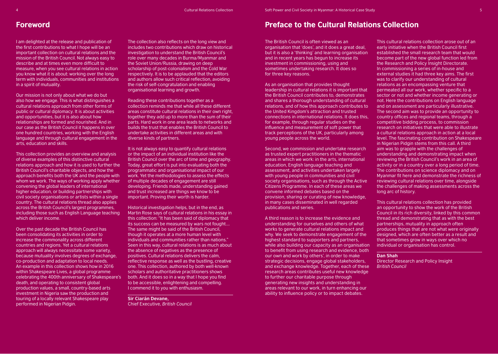I am delighted at the release and publication of the first contributions to what I hope will be an important collection on cultural relations and the mission of the British Council. Not always easy to describe and at times even more difficult to measure, when you see cultural relations in action you know what it is about: working over the long term with individuals, communities and institutions in a spirit of mutuality.

Our mission is not only about what we do but also how we engage. This is what distinguishes a cultural relations approach from other forms of public or cultural diplomacy. It is about activities and opportunities, but it is also about how relationships are formed and nourished. And in our case as the British Council it happens in over one hundred countries, working with the English language and through cultural engagement in the arts, education and skills.

This collection provides an overview and analysis of diverse examples of this distinctive cultural relations approach and how it is used to further the British Council's charitable objects, and how the approach benefits both the UK and the people with whom we work. The ways of working apply whether convening the global leaders of international higher education, or building partnerships with civil society organisations or artists within a single country. The cultural relations thread also applies across the British Council's largest programmes, including those such as English Language teaching which deliver income.

Over the past decade the British Council has been consolidating its activities in order to increase the commonality across different countries and regions. Yet a cultural relations approach will always necessitate some variety, because mutuality involves degrees of exchange, co-production and adaptation to local needs. An example in this collection shows how in 2016 within Shakespeare Lives, a global programme celebrating the 400th anniversary of Shakespeare's death, and operating to consistent global production values, a small, country-based arts investment in Nigeria saw the production and touring of a locally relevant Shakespeare play performed in Nigerian Pidgin.

The collection also reflects on the long view and includes two contributions which draw on historical investigation to understand the British Council's role over many decades in Burma/Myanmar and the Soviet Union/Russia, drawing on deep scholarship of post-colonialism and the Cold War respectively. It is to be applauded that the editors and authors allow such critical reflection, avoiding the risk of self-congratulation and enabling organisational learning and growth.

Reading these contributions together as a collection reminds me that while all these different areas constitute cultural relations in their own right, together they add up to more than the sum of their parts. Hard work in one area leads to networks and builds the trust that enables the British Council to undertake activities in different areas and with diverse kinds of partners.

It is not always easy to quantify cultural relations or the impact of an individual institution like the British Council over the arc of time and geography. Today, great effort is put into evaluating both the programmatic and organisational impact of our work. Yet the methodologies to assess the effects of multiple decades of engagement are still developing. Friends made, understanding gained and trust increased are things we know to be important. Proving their worth is harder.

Historical investigation helps, but in the end, as Martin Rose says of cultural relations in his essay in this collection: "It has been said of diplomacy that its success can be measured by wars not fought…. The same might be said of the British Council, though it operates at a more human level with individuals and communities rather than nations." Seen in this way, cultural relations is as much about the absence of negatives as the presence of positives. Cultural relations delivers the calm, reflective response as well as the bustling, creative one. This collection, authored by both well-known scholars and authoritative practitioners shows both. And it does so in a way that I hope you find to be accessible, enlightening and compelling. I commend it to you with enthusiasm.

**Sir Ciarán Devane,**  Chief Executive, *British Council*

# **Foreword Preface to the Cultural Relations Collection**

The British Council is often viewed as an organisation that 'does', and it does a great deal, but it is also a 'thinking' and learning organisation and in recent years has begun to increase its investment in commissioning, using and sometimes undertaking research. It does so for three key reasons.

As an organisation that provides thought leadership in cultural relations it is important that the British Council contributes to, demonstrates and shares a thorough understanding of cultural relations, and of how this approach contributes to the United Kingdom's attraction and trusted connections in international relations. It does this, for example, through regular studies on the influence and measurement of soft power that track perceptions of the UK, particularly among young people across the world.

Second, we commission and undertake research as trusted expert practitioners in the thematic areas in which we work: in the arts, international education, English language teaching and assessment, and activities undertaken largely with young people in communities and civil society organisations, such as through the Active Citizens Programme. In each of these areas we convene informed debates based on the provision, sharing or curating of new knowledge, in many cases disseminated in well regarded publications and series.

A third reason is to increase the evidence and understanding for ourselves and others of what works to generate cultural relations impact and why. We seek to demonstrate engagement of the highest standard to supporters and partners, while also building our capacity as an organisation to benefit from using research and evidence, both our own and work by others', in order to make strategic decisions, engage global stakeholders, and exchange knowledge. Together, each of these research areas contributes useful new knowledge to further our charitable purpose through generating new insights and understanding in areas relevant to our work, in turn enhancing our ability to influence policy or to impact debates.

This cultural relations collection arose out of an early initiative when the British Council first established the small research team that would become part of the new global function led from the Research and Policy Insight Directorate. In commissioning a series of in-house and external studies it had three key aims. The first was to clarify our understanding of cultural relations as an encompassing venture that permeated all our work, whether specific to a sector or not and whether income generating or not. Here the contributions on English language and on assessment are particularly illustrative. The second aim was to provide an opportunity to country offices and regional teams, through a competitive bidding process, to commission research on initiatives that were able to illustrate a cultural relations approach in action at a local level. The fascinating contribution on Shakespeare in Nigerian Pidgin stems from this call. A third aim was to grapple with the challenges of understanding and demonstrating impact when reviewing the British Council's work in an area of activity or in a country over a long period of time. The contributions on science diplomacy and on Myanmar fit here and demonstrate the richness of reviewing cultural relations over time, alongside the challenges of making assessments across the long arc of history.

This cultural relations collection has provided an opportunity to show the work of the British Council in its rich diversity, linked by this common thread and demonstrating that as with the best partnerships, mutuality in approach often produces things that are not what were originally designed, which are often better as a result and that sometimes grow in ways over which no individual or organisation has control.

**Dan Shah**

Director Research and Policy Insight *British Council*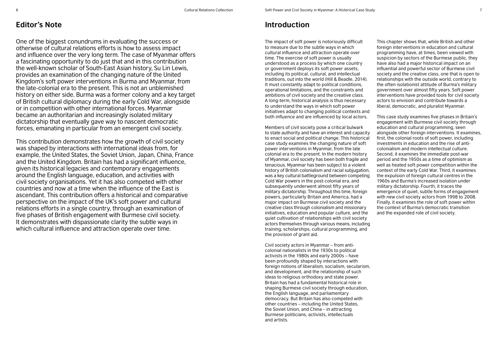# **Editor's Note Introduction**

One of the biggest conundrums in evaluating the success or otherwise of cultural relations efforts is how to assess impact and influence over the very long term. The case of Myanmar offers a fascinating opportunity to do just that and in this contribution the well-known scholar of South-East Asian history, Su Lin Lewis, provides an examination of the changing nature of the United Kingdom's soft power interventions in Burma and Myanmar, from the late-colonial era to the present. This is not an unblemished history on either side. Burma was a former colony and a key target of British cultural diplomacy during the early Cold War, alongside or in competition with other international forces. Myanmar became an authoritarian and increasingly isolated military dictatorship that eventually gave way to nascent democratic forces, emanating in particular from an emergent civil society.

This contribution demonstrates how the growth of civil society was shaped by interactions with international ideas from, for example, the United States, the Soviet Union, Japan, China, France and the United Kingdom. Britain has had a significant influence, given its historical legacies and contemporary engagements around the English language, education, and activities with civil society organisations. Yet it has also competed with other countries and now at a time when the influence of the East is ascendant. This contribution offers a historical and comparative perspective on the impact of the UK's soft power and cultural relations efforts in a single country, through an examination of five phases of British engagement with Burmese civil society. It demonstrates with dispassionate clarity the subtle ways in which cultural influence and attraction operate over time.

The impact of soft power is notoriously difficult to measure due to the subtle ways in which cultural influence and attraction operate over time. The exercise of soft power is usually understood as a process by which one country or government deploys its soft power assets, including its political, cultural, and intellectual traditions, out into the world (Hill & Beadle, 2014). It must constantly adapt to political conditions, operational limitations, and the constraints and ambitions of civil society and the creative class. A long-term, historical analysis is thus necessary to understand the ways in which soft power initiatives adapt to changing political contexts and both influence and are influenced by local actors.

Members of civil society pose a critical bulwark to state authority and have an interest and capacity to enact social and political change. This historical case study examines the changing nature of soft power interventions in Myanmar, from the late colonial era to the present. In the modern history of Myanmar, civil society has been both fragile and tenacious. Myanmar has been subject to a violent history of British colonialism and racial subjugation, was a key cultural battleground between competing Cold War powers in the post-colonial era, and subsequently underwent almost fifty years of military dictatorship. Throughout this time, foreign powers, particularly Britain and America, had a major impact on Burmese civil society and the creative class through colonialism and missionary initiatives, education and popular culture, and the quiet cultivation of relationships with civil society actors themselves through various means, including training, scholarships, cultural programming, and the provision of grant aid.

Civil society actors in Myanmar – from anticolonial nationalists in the 1930s to political activists in the 1980s and early 2000s – have been profoundly shaped by interactions with foreign notions of liberalism, socialism, secularism, and development, and the relationship of such ideas to religious orthodoxy and state power. Britain has had a fundamental historical role in shaping Burmese civil society through education, the English language, and parliamentary democracy. But Britain has also competed with other countries – including the United States, the Soviet Union, and China – in attracting Burmese politicians, activists, intellectuals and artists.

This chapter shows that, while British and other foreign interventions in education and cultural programming have, at times, been viewed with suspicion by sectors of the Burmese public, they have also had a major historical impact on an influential and powerful sector of Burmese civil society and the creative class, one that is open to relationships with the outside world, contrary to the often isolationist attitude of Burma's military government over almost fifty years. Soft power interventions have provided tools for civil society actors to envision and contribute towards a liberal, democratic, and pluralist Myanmar.

This case study examines five phases in Britain's engagement with Burmese civil society through education and cultural programming, seen alongside other foreign interventions. It examines, first, the colonial roots of soft power, including investments in education and the rise of anticolonialism and modern intellectual culture. Second, it examines the immediate post-war period and the 1950s as a time of optimism as well as heated soft power competition within the context of the early Cold War. Third, it examines the expulsion of foreign cultural centres in the 1960s and Burma's increased isolation under military dictatorship. Fourth, it traces the emergence of quiet, subtle forms of engagement with new civil society actors from 1998 to 2008. Finally, it examines the role of soft power within the context of Burma's democratic transition and the expanded role of civil society.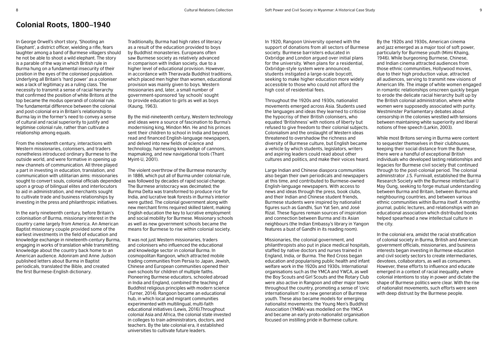### **Colonial Roots, 1800–1940**

In George Orwell's short story, 'Shooting an Elephant', a district officer, wielding a rifle, fears laughter among a band of Burmese villagers should he not be able to shoot a wild elephant. The story is a parable of the way in which British rule in Burma hung on a fundamental insecurity of their position in the eyes of the colonised population. Underlying all Britain's 'hard power' as a coloniser was a lack of legitimacy as a ruling class. The necessity to transmit a sense of racial hierarchy that confirmed the position of white Britons at the top became the modus operandi of colonial rule. The fundamental difference between the colonial and post-colonial era in Britain's relationship to Burma lay in the former's need to convey a sense of cultural and racial superiority to justify and legitimise colonial rule, rather than cultivate a relationship among equals.

From the nineteenth century, interactions with Western missionaries, colonisers, and traders nonetheless introduced ordinary Burmese to the outside world, and were formative in opening up new channels of communication. All three played a part in investing in education, translation, and communication with utilitarian aims: missionaries sought to convert souls, colonial officials depended upon a group of bilingual elites and interlocutors to aid in administration, and merchants sought to cultivate trade and business relationships by investing in the press and philanthropic initiatives.

In the early nineteenth century, before Britain's colonisation of Burma, missionary interest in the country came largely from America. An American Baptist missionary couple provided some of the earliest investments in the field of education and knowledge exchange in nineteenth-century Burma, engaging in works of translation while transmitting knowledge about the country back home to an American audience. Adoniram and Anne Judson published letters about Burma in Baptist periodicals, translated the Bible, and created the first Burmese-English dictionary.

Traditionally, Burma had high rates of literacy as a result of the education provided to boys by Buddhist monasteries. Europeans often saw Burmese society as relatively advanced in comparison with Indian society, due to a higher level of educational provision. However, in accordance with Theravada Buddhist traditions, which placed men higher than women, educational provision was mainly given to boys. Western missionaries and, later, a small number of government-sponsored 'lay schools' sought to provide education to girls as well as boys (Kaung, 1963).

By the mid-nineteenth century, Western technology and ideas were a source of fascination to Burma's modernising king, Mindon Min. He and his princes sent their children to school in India and beyond, read and financed English-language newspapers, and delved into new fields of science and technology, harnessing knowledge of cannons, mapmaking, and new navigational tools (Thant Myint-U, 2001).

The violent overthrow of the Burmese monarchy in 1886, which put all of Burma under colonial rule, was followed by decades of rapid social change. The Burmese aristocracy was decimated; the Burma Delta was transformed to produce rice for India, and lucrative teak forests in Burma's interior were gutted. The colonial government along with new merchant firms required skilled talent, making English education the key to lucrative employment and social mobility for Burmese. Missionary schools as well as new government schools became the means for Burmese to rise within colonial society.

It was not just Western missionaries, traders and colonisers who influenced the educational and knowledge sector in colonial Burma. In cosmopolitan Rangoon, which attracted mobile trading communities from Persia to Japan, Jewish, Chinese and European communities opened their own schools for children of multiple faiths. Pioneering Burmese educators, schooled abroad in India and England, combined the teaching of Buddhist religious principles with modern science (Turner, 2014). Rangoon became an educational hub, in which local and migrant communities experimented with multilingual, multi-faith educational initiatives (Lewis, 2016).Throughout colonial Asia and Africa, the colonial state invested in colleges to train administrators, doctors, and teachers. By the late colonial era, it established universities to cultivate future leaders.

In 1920, Rangoon University opened with the support of donations from all sectors of Burmese society. Burmese barristers educated in Oxbridge and London argued over initial plans for the university. When plans for a residential, Oxbridge-style system were announced, students instigated a large-scale boycott, seeking to make higher education more widely accessible to those who could not afford the high cost of residential fees.

Throughout the 1920s and 1930s, nationalist movements emerged across Asia. Students used the languages and ideas they learned to criticise the hypocrisy of their British colonisers, who equated 'Britishness' with notions of liberty but refused to give freedom to their colonial subjects. Colonialism and the onslaught of Western ideas threatened to overshadow the richness and diversity of Burmese culture, but English became a vehicle by which students, legislators, writers and aspiring leaders could read about other cultures and politics, and make their voices heard.

Large Indian and Chinese diaspora communities also began their own periodicals and newspapers at this time, and contributed to Burmese-owned English-language newspapers. With access to news and ideas through the press, book clubs, and their Indian and Chinese student friends, Burmese students were inspired by nationalist figures such as Gandhi, Sun Yat Sen, and José Rizal. These figures remain sources of inspiration and connection between Burma and its Asian neighbours (the Indian Embassy's library in Yangon features a bust of Gandhi in its reading room).

Missionaries, the colonial government, and philanthropists also put in place medical hospitals, staffed by native doctors and nurses trained in England, India, or Burma. The Red Cross began education and popularising public health and infant welfare work in the 1920s and 1930s. International organisations such as the YMCA and YWCA, as well the Boy Scouts and Girl Scouts and the Rotary Club were also active in Rangoon and other major towns throughout the country, promoting a sense of 'civic internationalism' to a new generation of Burmese youth. These also became models for emerging nationalist movements: the Young Men's Buddhist Association (YMBA) was modelled on the YMCA and became an early proto-nationalist organisation focused on instilling pride in Burmese culture.

By the 1920s and 1930s, American cinema and jazz emerged as a major tool of soft power, particularly for Burmese youth (Mimi Khaing, 1946). While burgeoning Burmese, Chinese, and Indian cinema attracted audiences from those ethnic communities, Hollywood movies, due to their high production value, attracted all audiences, serving to transmit new visions of American life. The image of white women engaged in romantic relationships onscreen quickly began to erode the delicate racial hierarchy built up by the British colonial administration, where white women were supposedly associated with purity. Westminster Parliamentary debates about censorship in the colonies wrestled with tensions between maintaining white superiority and liberal notions of free speech (Larkin, 2003).

While most Britons serving in Burma were content to sequester themselves in their clubhouses, keeping their social distance from the Burmese, there were a handful of exceptional British individuals who developed lasting relationships and legacies for Burmese civil society that continued through to the post-colonial period. The colonial administrator J.S. Furnivall, established the Burma Research Society with the Burmese intellectual U May Oung, seeking to forge mutual understanding between Burma and Britain, between Burma and neighbouring countries, and between various ethnic communities within Burma itself. A monthly journal, public lectures, and relationships with an educational association which distributed books helped spearhead a new intellectual culture in the city.

In the colonial era, amidst the racial stratification of colonial society in Burma, British and American government officials, missionaries, and business interests began investing in Burmese education and civil society sectors to create intermediaries, devotees, collaborators, as well as consumers. However, these efforts to influence and educate emerged in a context of racial inequality, where colonial intentions to stay in power and dictate the shape of Burmese politics were clear. With the rise of nationalist movements, such efforts were seen with deep distrust by the Burmese people.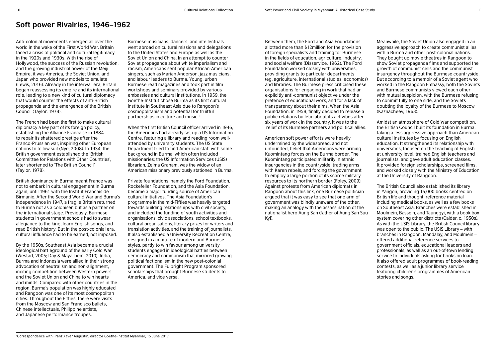### **Soft power Rivalries, 1946–1962**

Anti-colonial movements emerged all over the world in the wake of the First World War. Britain faced a crisis of political and cultural legitimacy in the 1920s and 1930s. With the rise of Hollywood, the success of the Russian revolution, and the growing industrial power of the Meiji Empire, it was America, the Soviet Union, and Japan who provided new models to emulate (Lewis, 2016). Already in the interwar era, Britain began reassessing its empire and its international role, leading to a new kind of cultural diplomacy that would counter the effects of anti-British propaganda and the emergence of the British Council (Taylor, 1978).

The French had been the first to make cultural diplomacy a key part of its foreign policy, establishing the Alliance Francaise in 1884 to repair its shattered prestige after the Franco-Prussian war, inspiring other European nations to follow suit (Nye, 2008). In 1934, the British government established the 'British Committee for Relations with Other Countries', later shortened to 'The British Council' (Taylor, 1978).

British dominance in Burma meant France was not to embark in cultural engagement in Burma again, until 1961 with the Institut Francais de Birmanie. After the Second World War and Burma's independence in 1947, a fragile Britain returned to Burma not as a coloniser, but as a partner on the international stage. Previously, Burmese students in government schools had to swear allegiance to the king, learn English songs, and read British history. But in the post-colonial era, cultural influence had to be earned, not imposed.

By the 1950s, Southeast Asia became a crucial ideological battleground of the early Cold War (Westad, 2005; Day & Maya Liem, 2010). India, Burma and Indonesia were allied in their strong advocation of neutralism and non-alignment, inciting competition between Western powers and the Soviet Union and China to win hearts and minds. Compared with other countries in the region, Burma's population was highly educated and Rangoon was one of its most cosmopolitan cities. Throughout the Fifties, there were visits from the Moscow and San Francisco ballets, Chinese intellectuals, Philippine artists, and Japanese performance troupes.

Burmese musicians, dancers, and intellectuals went abroad on cultural missions and delegations to the United States and Europe as well as the Soviet Union and China. In an attempt to counter Soviet propaganda about white imperialism and racism, Americans sent popular African-American singers, such as Marian Anderson, jazz musicians, and labour leaders to Burma. Young, urban Burmese read magazines and took part in film workshops and seminars provided by various embassies and cultural institutions. In 1959, the Goethe-Institut chose Burma as its first cultural institute in Southeast Asia due to Rangoon's cosmopolitanism and potential for fruitful partnerships in culture and music.<sup>1</sup>

When the first British Council officer arrived in 1946, the Americans had already set up a US Information Centre, featuring a library and reading room wellattended by university students. The US State Department tried to find American staff with some background in Burma, which often included missionaries; the US Information Services (USIS) librarian, Zelma Graham, was the widow of an American missionary previously stationed in Burma.

Private foundations, namely the Ford Foundation, Rockefeller Foundation, and the Asia Foundation, became a major funding source of American cultural initiatives. The Asia Foundation's programme in the mid-Fifties was heavily targeted towards building relationships with civil society, and included the funding of youth activities and organisations, civic associations, school textbooks, cultural organisations, literary prizes for writers and translation activities, and the training of journalists. It also established a University Recreation Centre, designed in a mixture of modern and Burmese styles, partly to win favour among university students engaged in ideological battles between democracy and communism that mirrored growing political factionalism in the new post-colonial government. The Fulbright Program sponsored scholarships that brought Burmese students to America, and vice versa.

Between them, the Ford and Asia Foundations allotted more than \$12million for the provision of foreign specialists and training for Burmese in the fields of education, agriculture, industry, and social welfare (Disservice, 1962). The Ford Foundation worked closely with universities, providing grants to particular departments (eg. agriculture, international studies, economics) and libraries. The Burmese press criticised these organisations for engaging in work that had an explicitly anti-communist objective under the pretence of educational work, and for a lack of transparency about their aims. When the Asia Foundation, in 1958, finally decided to release a public relations bulletin about its activities after six years of work in the country, it was to the relief of its Burmese partners and political allies.

American soft power efforts were heavily undermined by the widespread, and not unfounded, belief that Americans were arming Kuomintang forces on the Burma border. The Kuomintang participated militarily in ethnic insurgencies in the countryside, trading arms with Karen rebels, and forcing the government to employ a large portion of its scarce military resources to its northern border (Foley, 2009). Against protests from American diplomats in Rangoon about this link, one Burmese politician argued that it was easy to see that one arm of government was blindly unaware of the other, making an analogy with the assassination of the nationalist hero Aung San (father of Aung San Suu Kyi).

Meanwhile, the Soviet Union also engaged in an aggressive approach to create communist allies within Burma and other post-colonial nations. They bought up movie theatres in Rangoon to show Soviet propaganda films and supported the growth of communist cells and the communist insurgency throughout the Burmese countryside. But according to a memoir of a Soviet agent who worked in the Rangoon Embassy, both the Soviets and Burmese communists viewed each other with mutual suspicion, with the Burmese refusing to commit fully to one side, and the Soviets doubting the loyalty of the Burmese to Moscow (Kaznacheev, 1963).

Amidst an atmosphere of Cold War competition, the British Council built its foundation in Burma, taking a less aggressive approach than American cultural institutes by focusing on English education. It strengthened its relationship with universities, focused on the teaching of English at university level, trained English teachers and journalists, and gave adult education classes. It provided foreign scholarships, screened films, and worked closely with the Ministry of Education at the University of Rangoon.

The British Council also established its library in Yangon, providing 15,000 books centred on British life and thought, reference material including medical books, as well as a few books on Southeast Asia. Branches were established in Moulmein, Bassein, and Taunggyi, with a book box system covering other districts (Calder, c. 1950s). As with the USIS Library, the British Council library was open to the public. The USIS Library – with branches in Rangoon, Mandalay, and Moulmein – offered additional reference services to government officials, educational leaders and professionals, as well as an out-of-town lending service to individuals asking for books on loan. It also offered adult programmes of book-reading contests, as well as a junior library service featuring children's programmes of American stories and songs.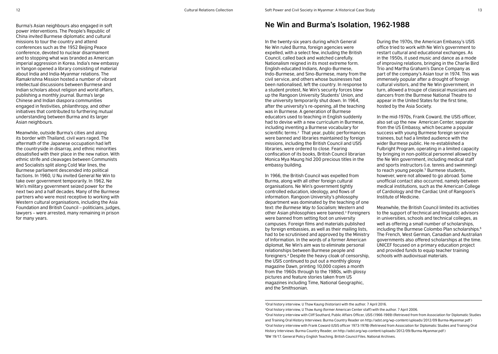#### Burma's Asian neighbours also engaged in soft power interventions. The People's Republic of China invited Burmese diplomatic and cultural missions to tour the country and attend conferences such as the 1952 Beijing Peace conference, devoted to nuclear disarmament and to stopping what was branded as American imperial aggression in Korea. India's new embassy in Yangon opened a library consisting of material about India and India-Myanmar relations. The Ramakrishna Mission hosted a number of vibrant intellectual discussions between Burmese and Indian scholars about religion and world affairs, publishing a monthly journal. Burma's large Chinese and Indian diaspora communities engaged in festivities, philanthropy, and other initiatives that contributed to furthering mutual understanding between Burma and its larger Asian neighbours.

Meanwhile, outside Burma's cities and along its border with Thailand, civil wars raged. The aftermath of the Japanese occupation had left the countryside in disarray, and ethnic minorities dissatisfied with their place in the new nation. With ethnic strife and cleavages between Communists and Socialists split along Cold War lines, the Burmese parliament descended into political factions. In 1960, U Nu invited General Ne Win to take over government temporarily. In 1962, Ne Win's military government seized power for the next two and a half decades. Many of the Burmese partners who were most receptive to working with Western cultural organisations, including the Asia Foundation and British Council – politicians, judges, lawyers – were arrested, many remaining in prison for many years.

### **Ne Win and Burma's Isolation, 1962-1988**

In the twenty-six years during which General Ne Win ruled Burma, foreign agencies were expelled, with a select few, including the British Council, called back and watched carefully. Nationalism reigned in its most extreme form. English-educated Indians, Anglo-Burmese, Indo-Burmese, and Sino-Burmese, many from the civil service, and others whose businesses had been nationalised, left the country. In response to a student protest, Ne Win's security forces blew up the Rangoon University Students' Union, and the university temporarily shut down. In 1964, after the university's re-opening, all the teaching was in Burmese. A generation of Burmese educators used to teaching in English suddenly had to devise with a new curriculum in Burmese, including inventing a Burmese vocabulary for scientific terms.<sup>2</sup> That year, public performances were banned and libraries maintained by foreign missions, including the British Council and USIS libraries, were ordered to close. Fearing confiscation of its books, British Council librarian Monica Mya Maung hid 200 precious titles in the embassy building.

In 1966, the British Council was expelled from Burma, along with all other foreign cultural organisations. Ne Win's government tightly controlled education, ideology, and flows of information. Rangoon University's philosophy department was dominated by the teaching of one text: *the Burmese Way to Socialism;* Western and other Asian philosophies were banned.3 Foreigners were banned from setting foot on university campuses. Foreign films and materials published by foreign embassies, as well as their mailing lists, had to be scrutinised and approved by the Ministry of Information. In the words of a former American diplomat, Ne Win's aim was to eliminate personal relationships between Burmese people and foreigners.4 Despite the heavy cloak of censorship, the USIS continued to put out a monthly glossy magazine Dawn, printing 10,000 copies a month from the 1960s through to the 1980s, with glossy pictures and feature stories taken from US magazines including Time, National Geographic, and the Smithsonian.

During the 1970s, the American Embassy's USIS office tried to work with Ne Win's government to restart cultural and educational exchanges. As in the 1950s, it used music and dance as a mode of improving relations, bringing in the Charlie Bird Trio and Martha Graham's Dance Company as part of the company's Asian tour in 1974. This was immensely popular after a drought of foreign cultural visitors, and the Ne Win government, in turn, allowed a troupe of classical musicians and dancers from the Burmese National Theatre to appear in the United States for the first time, hosted by the Asia Society.

In the mid-1970s, Frank Coward, the USIS officer also set up the new American Center, separate from the US Embassy, which became a popular success with young Burmese foreign service trainees, but had a limited audience with the wider Burmese public. He re-established a Fulbright Program, operating in a limited capacity by bringing in non-political personnel allowed by the Ne Win government, including medical staff and sports instructors (i.e. tennis and swimming) to reach young people.<sup>5</sup> Burmese students, however, were not allowed to go abroad. Some unofficial contact also occurred, namely between medical institutions, such as the American College of Cardiology and the Cardiac Unit of Rangoon's Institute of Medicine.

Meanwhile, the British Council limited its activities to the support of technical and linguistic advisors in universities, schools and technical colleges, as well as offering a small number of scholarships, including the Burmese Colombo Plan scholarships.<sup>6</sup> The French, West German, Canadian and Australian governments also offered scholarships at the time. UNICEF focused on a primary education project and provided funds to equip teacher training schools with audiovisual materials.

2Oral history interview. U Thaw Kaung (historian) with the author. 7 April 2016.

3Oral history interview, U Thaw Aung (former American Center staff) with the author. 7 April 2006. 4Oral history interview with Cliff Southard, Public Affairs Officer, USIS (1966-1969) (Retrieved from from Association for Diplomatic Studies and Training Oral History Interviews: Burma Country Reader on http://adst.org/wp-content/uploads/2012/09 Burma-Myanmar.pdf ) 5Oral history interview with Frank Coward (USIS officer 1973-1978) (Retrieved from Association for Diplomatic Studies and Training Oral History Interviews: Burma Country Reader, on http://adst.org/wp-content/uploads/2012/09/Burma-Myanmar.pdf ) 6BW 19/17. General Policy English Teaching. British Council Files. National Archives.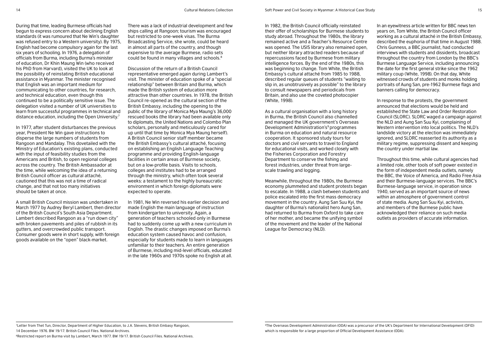During that time, leading Burmese officials had begun to express concern about declining English standards (it was rumoured that Ne Win's daughter was refused entry to a Western university). By 1975, English had become compulsory again for the last six years of schooling. In 1976, a delegation of officials from Burma, including Burma's minister of education, Dr Khin Maung Win (who received his PhD from Harvard), visited the UK to look at the possibility of reinstating British educational assistance in Myanmar. The minister recognised that English was an important medium for communicating to other countries, for research, and technical education, even though this continued to be a politically sensitive issue. The delegation visited a number of UK universities to learn from successful programmes in technical and distance education, including the Open University.7

In 1977, after student disturbances the previous year, President Ne Win gave instructions to disperse the large numbers of students from Rangoon and Mandalay. This dovetailed with the Ministry of Education's existing plans, conducted with the input of feasibility studies from the Americans and British, to open regional colleges across the country. The British Ambassador at the time, while welcoming the idea of a returning British Council officer as cultural attaché, cautioned that this was not a time of radical change, and that not too many initiatives should be taken at once.

A small British Council mission was undertaken in March 1977 by Audrey Beryl Lambert, then director of the British Council's South Asia Department. Lambert described Rangoon as a "run down city" with broken pavements and piles of rubbish in its gutters, and overcrowded public transport. Consumer goods were in short supply, with foreign goods available on the "open" black-market.

There was a lack of industrial development and few ships calling at Rangoon; tourism was encouraged but restricted to one-week visas. The Burma Broadcasting Service, she wrote, could be heard in almost all parts of the country, and though expensive to the average Burmese, radio sets could be found in many villages and schools.8

Discussion of the return of a British Council representative emerged again during Lambert's visit. The minister of education spoke of a "special relationship" between Britain and Burma, which made the British system of education more attractive than other countries. In 1978, the British Council re-opened as the cultural section of the British Embassy, including the opening to the public of the library of Monica Mya Maung's 36,000 rescued books (the library had been available only to diplomats, the United Nations and Colombo Plan scholars, personally and meticulously cared for up until that time by Monica Mya Maung herself). A British Council senior staff member became the British Embassy's cultural attaché, focusing on establishing an English Language Teaching programme and providing English-language facilities in certain areas of Burmese society, but on a low-profile basis. Visits to schools, colleges and institutes had to be arranged through the ministry, which often took several weeks: a testament to the highly bureaucratic environment in which foreign diplomats were expected to operate.

In 1981, Ne Win reversed his earlier decision and made English the main language of instruction from kindergarten to university. Again, a generation of teachers schooled only in Burmese had to suddenly come up with a new curriculum in English. The drastic changes imposed on Burma's education system caused havoc and confusion, especially for students made to learn in languages unfamiliar to their teachers. An entire generation of Burmese, including mid-level officials, educated in the late 1960s and 1970s spoke no English at all.

In 1982, the British Council officially reinstated their offer of scholarships for Burmese students to study abroad. Throughout the 1980s, the library remained active and a Teacher's Resource Centre was opened. The USIS library also remained open, but neither library attracted readers because of repercussions faced by Burmese from military intelligence forces. By the end of the 1980s, this was beginning to change. Tom White, the British Embassy's cultural attaché from 1985 to 1988, described regular queues of students "waiting to slip in, as unobtrusively as possible" to the library to consult newspapers and periodicals from Britain, and also use the coveted photocopier (White, 1998).

As a cultural organisation with a long history in Burma, the British Council also channelled and managed the UK government's Overseas Development Administration's<sup>9</sup> programmes in Burma on education and natural resource cooperation. It sponsored study tours for doctors and civil servants to travel to England for educational visits, and worked closely with the Fisheries Corporation and Forestry Department to conserve the fishing and forest industries, under threat from largescale trawling and logging.

Meanwhile, throughout the 1980s, the Burmese economy plummeted and student protests began to escalate. In 1988, a clash between students and police escalated into the first mass democracy movement in the country. Aung San Suu Kyi, the daughter of Burma's nationalist hero Aung San, had returned to Burma from Oxford to take care of her mother, and became the unifying symbol of the movement and the leader of the National League for Democracy (NLD).

In an eyewitness article written for BBC news ten years on, Tom White, the British Council officer working as a cultural attaché in the British Embassy, described the euphoria of that time in August 1988. Chris Gunness, a BBC journalist, had conducted interviews with students and dissidents, broadcast throughout the country from London by the BBC's Burmese Language Service, including announcing the date for the first general strike since the 1962 military coup (White, 1998). On that day, White witnessed crowds of students and monks holding portraits of Aung San, pre-1962 Burmese flags and banners calling for democracy.

In response to the protests, the government announced that elections would be held and established the State Law and Order Restoration Council (SLORC). SLORC waged a campaign against the NLD and Aung San Suu Kyi, complaining of Western intervention into local politics. The NLD's landslide victory at the election was immediately ignored, and SLORC reasserted its authority as a military regime, suppressing dissent and keeping the country under martial law.

Throughout this time, while cultural agencies had a limited role, other tools of soft power existed in the form of independent media outlets, namely the BBC, the Voice of America, and Radio Free Asia and their Burmese-language services. The BBC's Burmese-language service, in operation since 1940, served as an important source of news within an atmosphere of government control of state media. Aung San Suu Kyi, activists, and members of the Burmese public have acknowledged their reliance on such media outlets as providers of accurate information.

7Letter from Thet Tun, Director, Department of Higher Education, to J.A. Stevens, British Embasy Rangoon, 14 December 1976. BW 19/17. British Council Files. National Archives. <sup>8</sup>Restricted report on Burma visit by Lambert, March 1977. BW 19/17. British Council Files. National Archives.

<sup>9</sup>The Overseas Development Administration (ODA) was a precursor of the UK's Department for International Development (DFID) which is responsible for a large proportion of Official Development Assistance (ODA).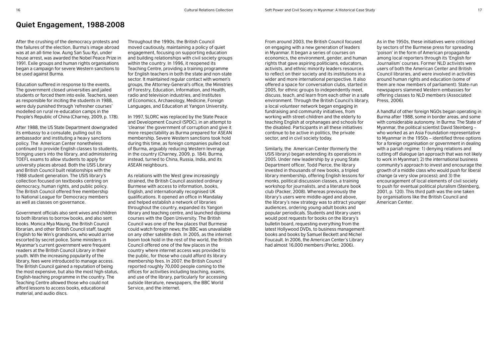# **Quiet Engagement, 1988-2008**

After the crushing of the democracy protests and the failures of the election, Burma's image abroad was at an all-time low. Aung San Suu Kyi, under house arrest, was awarded the Nobel Peace Prize in 1991. Exile groups and human rights organisations began a campaign for severe Western sanctions to be used against Burma.

Education suffered in response to the events. The government closed universities and jailed students or forced them into exile. Teachers, seen as responsible for inciting the students in 1988, were duly punished through 'refresher courses' modelled on rural re-education camps in the People's Republic of China (Charney, 2009, p. 178).

After 1988, the US State Department downgraded its embassy to a consulate, pulling out its ambassador and instituting a heavy sanctions policy. The American Center nonetheless continued to provide English classes to students, bringing users into the library, and administering TOEFL exams to allow students to apply for university places abroad. Both the USIS Library and British Council built relationships with the 1988 student generation. The USIS library's collection focused on textbooks centring on democracy, human rights, and public policy. The British Council offered free membership to National League for Democracy members as well as classes on governance.

Government officials also sent wives and children to both libraries to borrow books, and also sent books. Monica Mya Maung, the British Council librarian, and other British Council staff, taught English to Ne Win's grandsons, who would arrive escorted by secret police. Some ministers in Myanmar's current government were frequent readers at the British Council Library in their youth. With the increasing popularity of the library, fees were introduced to manage access. The British Council gained a reputation of being the most expensive, but also the most high-status, English-teaching programme in the country. The Teaching Centre allowed those who could not afford lessons to access books, educational material, and audio discs.

Throughout the 1990s, the British Council moved cautiously, maintaining a policy of quiet engagement, focusing on supporting education and building relationships with civil society groups within the country. In 1996, it reopened its Teaching Centre, providing a training programme for English teachers in both the state and non-state sector. It maintained regular contact with women's groups, the Attorney-General's office, the Ministries of Forestry, Education, Information, and Health, radio and television industries, and Institutes of Economics, Archaeology, Medicine, Foreign Languages, and Education at Yangon University.

In 1997, SLORC was replaced by the State Peace and Development Council (SPDC), in an attempt to 'cleanse' the government of corruption and give it more respectability as Burma prepared for ASEAN membership. Severe Western sanctions took hold during this time, as foreign companies pulled out of Burma, arguably reducing Western leverage in the country (Charney, 2009, p. 184). Burma, instead, turned to China, Russia, India, and its ASEAN neighbours.

As relations with the West grew increasingly strained, the British Council assisted ordinary Burmese with access to information, books, English, and internationally recognised UK qualifications. It opened an office in Mandalay and helped establish a network of libraries throughout the country, expanded its Yangon library and teaching centre, and launched diploma courses with the Open University. The British Council was one of the few places that Burmese could watch foreign news; the BBC was unavailable on any other satellite dish. In 2005, as the internet boom took hold in the rest of the world, the British Council offered one of the few places in the country where internet access was provided to the public, for those who could afford its library membership fees. In 2007, the British Council reported roughly 70,000 people coming to the offices for activities including teaching, exams, and use of the library, particularly for accessing outside literature, newspapers, the BBC World Service, and the internet.

From around 2003, the British Council focused on engaging with a new generation of leaders in Myanmar. It began a series of courses on economics, the environment, gender, and human rights that gave aspiring politicians, educators, activists, and ethnic minority leaders resources to reflect on their society and its institutions in a wider and more international perspective. It also offered a space for conversation clubs, started in 2005, for ethnic groups to independently meet, discuss, teach, and learn from each other in a safe environment. Through the British Council's library, a local volunteer network began engaging in fundraising and community initiatives, from working with street-children and the elderly to teaching English at orphanages and schools for the disabled. Participants in all these initiatives continue to be active in politics, the private sector, and in civil society today.

Similarly, the American Center (formerly the USIS library) began extending its operations in 2005. Under new leadership by a young State Department officer, Todd Pierce, the library invested in thousands of new books, a tripled library membership, offering English lessons for monks, political discussion classes, a training workshop for journalists, and a literature book club (Packer, 2008). Whereas previously the library's users were middle-aged and above, the library's new strategy was to attract younger audiences, ordering young-adult books and popular periodicals. Students and library users would post requests for books on the library's bulletin board, requesting everything from the latest Hollywood DVDs, to business management books and books by Samuel Beckett and Michel Foucault. In 2006, the American Center's Library had almost 16,000 members (Perlez, 2006).

As in the 1950s, these initiatives were criticised by sectors of the Burmese press for spreading 'poison' in the form of American propaganda among local reporters through its 'English for Journalism' courses. Former NLD activists were users of both the American Center and British Council libraries, and were involved in activities around human rights and education (some of them are now members of parliament). State-run newspapers slammed Western embassies for offering classes to NLD members (Associated Press, 2006).

A handful of other foreign NGOs began operating in Burma after 1988, some in border areas, and some with considerable autonomy. In Burma: The State of Myanmar, the political scientist David Steinberg – who worked as an Asia Foundation representative to Myanmar in the 1950s – identified three options for a foreign organisation or government in dealing with a pariah regime: 1) denying relations and cutting off dialogue (an approach that was not likely to work in Myanmar); 2) the international business community's approach to invest and encourage the growth of a middle class who would push for liberal change (a very slow process); and 3) the encouragement of local elements of civil society to push for eventual political pluralism (Steinberg, 2001, p. 120). This third path was the one taken by organisations like the British Council and American Center.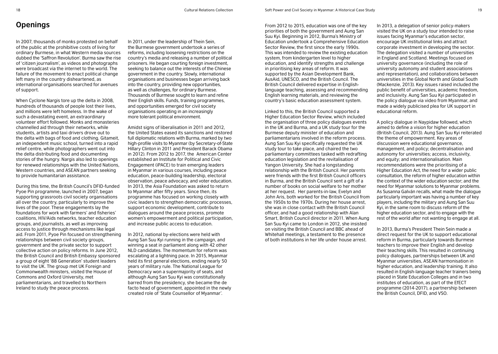# **Openings**

In 2007, thousands of monks protested on behalf of the public at the prohibitive costs of living for ordinary Burmese, in what Western media sources dubbed the 'Saffron Revolution'. Burma saw the rise of 'citizen journalism', as videos and photographs were broadcast via the internet to the world. The failure of the movement to enact political change left many in the country disheartened, as international organisations searched for avenues of support.

When Cyclone Nargis tore up the delta in 2008, hundreds of thousands of people lost their lives, and millions were left homeless. In the wake of such a devastating event, an extraordinary volunteer effort followed. Monks and monasteries channelled aid through their networks, while students, artists and taxi drivers drove out to the delta with bags of food and clothing. Gitameit, an independent music school, turned into a rapid relief centre, while photographers went out into the delta distributing food and documenting stories of the hungry. Nargis also led to openings for renewed relationships with the United Nations, Western countries, and ASEAN partners seeking to provide humanitarian assistance.

During this time, the British Council's DFID-funded Pyoe Pin programme, launched in 2007, began supporting grassroots civil society organisations all over the country, particularly to improve the lives of the poor. These engagements lay the foundations for work with farmers' and fisheries' coalitions, HIV/Aids networks, teacher education groups, and journalists, as well as improving access to justice through mechanisms like legal aid. From 2011, Pyoe Pin focused on strengthening relationships between civil society groups, government and the private sector to support collective action on policy reforms. In June 2012, the British Council and British Embassy sponsored a group of eight '88 Generation' student leaders to visit the UK. The group met UK Foreign and Commonwealth ministers, visited the House of Commons and Oxford University, met parliamentarians, and travelled to Northern Ireland to study the peace process.

In 2011, under the leadership of Thein Sein, the Burmese government undertook a series of reforms, including loosening restrictions on the country's media and releasing a number of political prisoners. He began courting foreign investment, seeking to balance out the interests of the Chinese government in the country. Slowly, international organisations and businesses began arriving back into the country, providing new opportunities, as well as challenges, for ordinary Burmese. Thousands of Burmese sought to learn and refine their English skills. Funds, training programmes, and opportunities emerged for civil society organisations operating in an increasingly more tolerant political environment.

Amidst signs of liberalisation in 2011 and 2012, the United States eased its sanctions and restored full diplomatic relations with Burma, marked by two high-profile visits to Myanmar (by Secretary-of-State Hillary Clinton in 2011 and President Barack Obama in 2012). From 2012 to 2017, the American Center established an Institute for Political and Civic Engagement (iPACE) to train emerging leaders in Myanmar in various courses, including peace education, peace-building leadership, electoral observation, peace advocacy, and voter education. In 2013, the Asia Foundation was asked to return to Myanmar after fifty years. Since then, its programme has focused on working closely with civic leaders to strengthen democratic processes, support economic development, contribute to dialogues around the peace process, promote women's empowerment and political participation, and increase public access to education.

In 2012, national by-elections were held with Aung San Suu Kyi running in the campaign, and winning a seat in parliament along with 42 other NLD candidates. The momentum for reform was escalating at a lightning pace. In 2015, Myanmar held its first general elections, ending nearly 50 years of military rule. The National League for Democracy won a supermajority of seats, and although Aung San Suu Kyi was constitutionally barred from the presidency, she became the de facto head of government, appointed in the newly created role of 'State Counsellor of Myanmar'.

From 2012 to 2015, education was one of the key priorities of both the government and Aung San Suu Kyi. Beginning in 2012, Burma's Ministry of Education undertook a Comprehensive Education Sector Review, the first since the early 1990s. This was intended to review the existing education system, from kindergarten level to higher education, and identify strengths and challenge in prioritising key areas of reform. It was supported by the Asian Development Bank, AusAid, UNESCO, and the British Council. The British Council delivered expertise in Englishlanguage teaching, assessing and recommending English learning materials, and reviewing the country's basic education assessment system.

Linked to this, the British Council supported a Higher Education Sector Review, which included the organisation of three policy dialogues events in the UK and Burma, and a UK study tour for the Burmese deputy minister of education and parliamentarians involved in the reform process. Aung San Suu Kyi specifically requested the UK study tour to take place, and chaired the two parliamentary committees tasked with redrafting education legislation and the revitalisation of Yangon University. She had a longstanding relationship with the British Council. Her parents were friends with the first British Council officers in Burma, and the British Council sent a gift of a number of books on social welfare to her mother at her request. Her parents-in-law, Evelyn and John Aris, both worked for the British Council from the 1950s to the 1970s. During her house arrest, she was in close contact with the British Council officer, and had a good relationship with Alan Smart, British Council director in 2011. When Aung San Suu Kyi came to London in 2012, she insisted on visiting the British Council and BBC ahead of Whitehall meetings, a testament to the presence of both institutions in her life under house arrest.

In 2013, a delegation of senior policy-makers visited the UK on a study tour intended to raise issues facing Myanmar's education sector, encourage UK institutional links and attract corporate investment in developing the sector. The delegation visited a number of universities in England and Scotland. Meetings focused on university governance (including the role of university autonomy and student associations and representation), and collaborations between universities in the Global North and Global South (Mackenzie, 2013). Key issues raised included the public benefit of universities, academic freedom, and inclusivity. Aung San Suu Kyi participated in the policy dialogue via video from Myanmar, and made a widely publicised plea for UK support in educational reform.

A policy dialogue in Naypidaw followed, which aimed to define a vision for higher education (British Council, 2013). Aung San Suu Kyi reiterated the theme of empowerment. Key areas of discussion were educational governance, management, and policy; decentralisation and autonomy for universities; access, inclusivity, and equity; and internationalisation. Main recommendations were the prioritising of a Higher Education Act, the need for a wider public consultation, the reform of higher education within the context of the wider education sector; and the need for Myanmar solutions to Myanmar problems. As Susanna Galván recalls, what made the dialogue particularly important was having a number of key players, including the military and Aung San Suu Kyi, in the same room to discuss reform of the higher education sector, and to engage with the rest of the world after not wanting to engage at all.

In 2013, Burma's President Thein Sein made a direct request for the UK to support educational reform in Burma, particularly towards Burmese teachers to improve their English and develop their teaching skills. This resulted in continuing policy dialogues, partnerships between UK and Myanmar universities, ASEAN harmonisation in higher education, and leadership training. It also resulted in English-language teacher trainers being placed in State Education Colleges and in two institutes of education, as part of the EfECT programme (2014-2017), a partnership between the British Council, DFID, and VSO.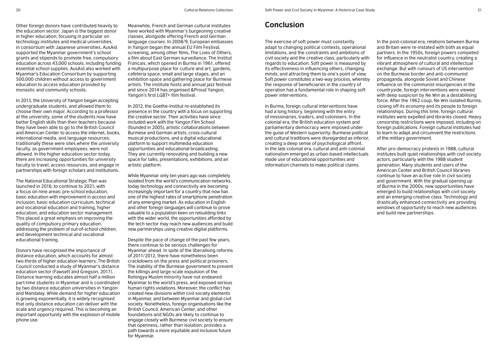The exercise of soft power must constantly adapt to changing political contexts, operational limitations, and the constraints and ambitions of civil society and the creative class, particularly with regards to education. Soft power is measured by its effectiveness in influencing others, changing minds, and attracting them to one's point of view. Soft power constitutes a two-way process, whereby the response of beneficiaries in the country of operation has a fundamental role in shaping soft power interventions.

> In Burma, foreign cultural interventions have had a long history, beginning with the entry of missionaries, traders, and colonisers. In the colonial era, the British education system and parliamentary democracy were imposed under the guise of Western superiority; Burmese political and cultural traditions were disregarded as inferior, creating a deep sense of psychological affront. In the late colonial era, cultural and anti-colonial nationalism emerged as urban-based intellectuals made use of educational opportunities and information channels to make political claims.

In the post-colonial era, relations between Burma and Britain were re-instated with both as equal partners. In the 1950s, foreign powers competed for influence in the neutralist country, creating a vibrant atmosphere of cultural and intellectual exchange. But with rumours of US intervention on the Burmese border and anti-communist propaganda, alongside Soviet and Chinese influence on the communist insurgencies in the countryside, foreign interventions were viewed with deep suspicion by Ne Win as a destabilising force. After the 1962 coup, Ne Win isolated Burma, closing off its economy and its people to foreign relationships. During this time, foreign cultural institutes were expelled and libraries closed. Heavy censorship restrictions were imposed, including on foreign publications. Foreign cultural institutes had to learn to adapt and circumvent the restrictions of the military government.

After pro-democracy protests in 1988, cultural institutes built quiet relationships with civil society actors, particularly with the 1988 student generation. Many students and users of the American Center and British Council libraries continue to have an active role in civil society and government. With the gradual opening up of Burma in the 2000s, new opportunities have emerged to build relationships with civil society and an emerging creative class. Technology and drastically enhanced connectivity are providing windows of opportunity to reach new audiences and build new partnerships.

Other foreign donors have contributed heavily to Meanwhile, French and German cultural institutes **Conclusion** the education sector. Japan is the biggest donor in higher education, focusing in particular on technology institutes and medical universities, in consortium with Japanese universities. AusAid supported the Myanmar government's school grants and stipends to promote free, compulsory education across 43,000 schools, including funding essential school supplies. AusAid also worked with Myanmar's Education Consortium by supporting 500,000 children without access to government education to access education provided by monastic and community schools.

In 2013, the University of Yangon began accepting undergraduate students, and allowed them to choose their own major. According to a professor at the university, some of the students now have better English skills than their teachers because they have been able to go to the British Council and American Center to access the internet, books, international media, and language resources; traditionally these were sites where the university faculty, as government employees, were not allowed. In the higher education sector today, there are increasing opportunities for university faculty to travel, access resources, and engage in partnerships with foreign scholars and institutions.

The National Educational Strategic Plan was launched in 2016, to continue to 2021, with a focus on nine areas: pre-school education, basic education with improvement in access and inclusion, basic education curriculum, technical and vocational education and training, higher education, and education sector management. This placed a great emphasis on improving the quality of compulsory primary education, addressing the problem of out-of-school children, and development technical and vocational educational training.

Donors have recognised the importance of distance education, which accounts for almost two-thirds of higher education learners. The British Council conducted a study of Myanmar's distance education sector (Fawsett and Gregson, 2017). Distance learning educates almost half a million part-time students in Myanmar and is coordinated by two distance education universities in Yangon and Mandalay. While demand for higher education is growing exponentially, it is widely recognised that only distance education can deliver with the scale and urgency required. This is becoming an important opportunity with the explosion of mobile phone use.

have worked with Myanmar's burgeoning creative classes, alongside offering French and German language courses. In 2008/9, European embassies in Yangon began the annual EU Film Festival, screening, among other films, The Lives of Others, a film about East German surveillance. The Institut Francais, which opened in Burma in 1961, offered a multipurpose place for culture and art, gardens, cafeteria space, small and large stages, and an exhibition space and gathering place for Burmese artists. The institute hosts and annual jazz festival and since 2014 has organised &Proud Yangon, Yangon's first LGBT+ film festival.

In 2012, the Goethe-Institut re-established its presence in the country with a focus on supporting the creative sector. Their activities have since included work with the Yangon Film School (founded in 2005), artistic collaborations between Burmese and German artists, cross-cultural musical productions, and a digital educational platform to support multimedia education opportunities and educational broadcasting. They are currently renovating and building a new space for talks, presentations, exhibitions, and an artistic platform.

While Myanmar only ten years ago was completely isolated from the world's communication networks, today technology and connectivity are becoming increasingly important for a country that now has one of the highest rates of smartphone penetration of any emerging market. As education in English and other foreign languages will continue to prove valuable to a population keen on rebuilding links with the wider world, the opportunities afforded by the tech sector may reach new audiences and build new partnerships using creative digital platforms.

Despite the pace of change of the past few years, there continue to be serious challenges for Myanmar ahead. In spite of the liberalising reforms of 2011/2012, there have nonetheless been crackdowns on the press and political prisoners. The inability of the Burmese government to prevent the killings and large-scale expulsion of the Rohingya Muslim minority have not endeared Myanmar to the world's press, and exposed serious human rights violations. Moreover, the conflict has created new divisions within civil society elements in Myanmar, and between Myanmar and global civil society. Nonetheless, foreign organisations like the British Council, American Center, and other foundations and NGOs are likely to continue to engage closely with Burmese civil society to ensure that openness, rather than isolation, provides a path towards a more equitable and inclusive future for Myanmar.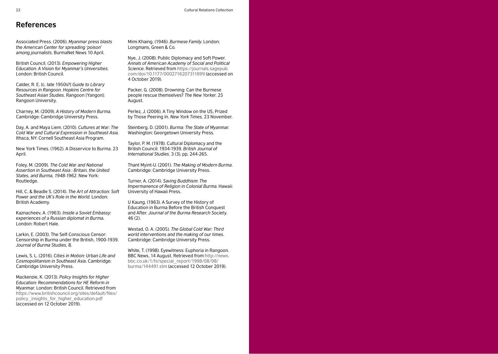Associated Press. (2006). *Myanmar press blasts the American Center for spreading 'poison' among journalists.* BurmaNet News 10 April.

British Council. (2013). *Empowering Higher Education: A Vision for Myanmar's Universities.* London: British Council.

Calder, R. E. [c. late 1950s?] *Guide to Library Resources in Rangoon. Hopkins Centre for Southeast Asian Studies.* Rangoon [Yangon]: Rangoon University.

Charney, M. (2009). *A History of Modern Burma.* Cambridge: Cambridge University Press.

Day, A. and Maya Liem. (2010). *Cultures at War: The Cold War and Cultural Expression in Southeast Asia.*  Ithaca, NY: Cornell Southeast Asia Program.

New York Times. (1962). A Disservice to Burma. 23 April.

Foley, M. (2009). *The Cold War and National Assertion in Southeast Asia : Britain, the United States, and Burma, 1948-1962*. New York: Routledge.

Hill, C. & Beadle S. (2014). *The Art of Attraction: Soft Power and the UK's Role in the World*. London: British Academy.

Kaznacheev, A. (1963). *Inside a Soviet Embassy: experiences of a Russian diplomat in Burma.* London: Robert Hale.

Larkin, E. (2003). The Self-Conscious Censor: Censorship in Burma under the British, 1900-1939. *Journal of Burma Studies,* 8.

Lewis, S. L. (2016). *Cities in Motion: Urban Life and Cosmopolitanism in Southeast Asia*. Cambridge: Cambridge University Press.

Mackenzie, K. (2013). *Policy Insights for Higher Education: Recommendations for HE Reform in Myanmar.* London: British Council. Retrieved from [https://www.britishcouncil.org/sites/default/files/](https://www.britishcouncil.org/sites/default/files/policy_insights_for_higher_education.pdf) [policy\\_insights\\_for\\_higher\\_education.pdf](https://www.britishcouncil.org/sites/default/files/policy_insights_for_higher_education.pdf)   $rac{1}{2}$  (accessed on 12 October 2019).

Mimi Khaing. (1946). *Burmese Family*. London: Longmans, Green & Co.

Nye, J. (2008). Public Diplomacy and Soft Power. *Annals of American Academy of Social and Political Science*. Retrieved from [https://journals.sagepub.](https://journals.sagepub.com/doi/10.1177/0002716207311699) [com/doi/10.1177/0002716207311699](https://journals.sagepub.com/doi/10.1177/0002716207311699) (accessed on 4 October 2019).

Packer, G. (2008). Drowning: Can the Burmese people rescue themselves? *The New Yorker.* 25 August.

Perlez, J. (2006). A Tiny Window on the US, Prized by Those Peering In. *New York Times,* 23 November.

Steinberg, D. (2001). *Burma: The State of Myanmar.*  Washington: Georgetown University Press.

Taylor, P. M. (1978). Cultural Diplomacy and the British Council: 1934-1939. *British Journal of International Studies*. 3 (3), pp. 244-265.

Thant Myint-U. (2001). *The Making of Modern Burma*. Cambridge: Cambridge University Press.

Turner, A. (2014). *Saving Buddhism: The Impermanence of Religion in Colonial Burma*. Hawaii: University of Hawaii Press.

U Kaung. (1963). A Survey of the History of Education in Burma Before the British Conquest and After. *Journal of the Burma Research Societ*y. 46 (2).

Westad, O. A. (2005). *The Global Cold War: Third world interventions and the making of our times.*  Cambridge: Cambridge University Press.

White, T. (1998). Eyewitness: Euphoria in Rangoon. BBC News, 14 August. Retrieved from [http://news.](http://news.bbc.co.uk/1/hi/special_report/1998/08/98/burma/144491.stm) [bbc.co.uk/1/hi/special\\_report/1998/08/98/](http://news.bbc.co.uk/1/hi/special_report/1998/08/98/burma/144491.stm) [burma/144491.stm](http://news.bbc.co.uk/1/hi/special_report/1998/08/98/burma/144491.stm) (accessed 12 October 2019).